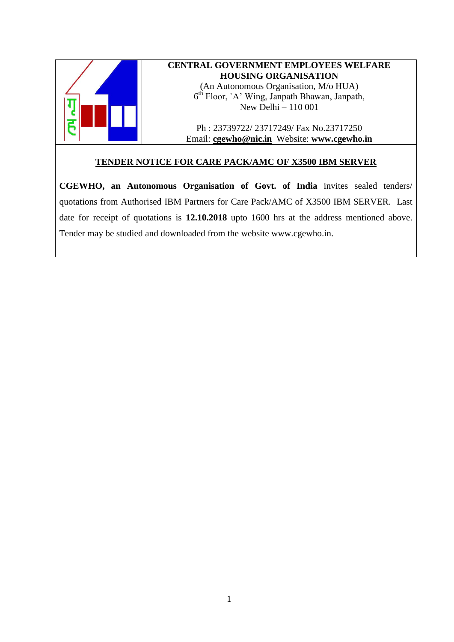

# **CENTRAL GOVERNMENT EMPLOYEES WELFARE HOUSING ORGANISATION** (An Autonomous Organisation, M/o HUA) 6 th Floor, `A' Wing, Janpath Bhawan, Janpath, New Delhi – 110 001

Ph : 23739722/ 23717249/ Fax No.23717250 Email: **[cgewho@nic.in](mailto:cgewho@nic.in)** Website: **www.cgewho.in**

## **TENDER NOTICE FOR CARE PACK/AMC OF X3500 IBM SERVER**

**CGEWHO, an Autonomous Organisation of Govt. of India** invites sealed tenders/ quotations from Authorised IBM Partners for Care Pack/AMC of X3500 IBM SERVER. Last date for receipt of quotations is **12.10.2018** upto 1600 hrs at the address mentioned above. Tender may be studied and downloaded from the website [www.cgewho.in.](http://www.cgewho.in/)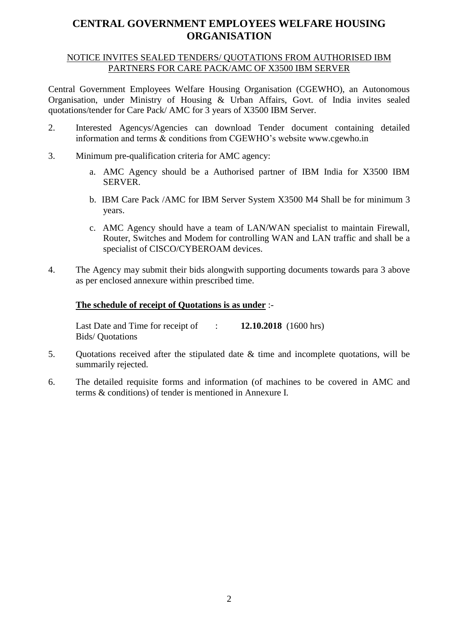# **CENTRAL GOVERNMENT EMPLOYEES WELFARE HOUSING ORGANISATION**

#### NOTICE INVITES SEALED TENDERS/ QUOTATIONS FROM AUTHORISED IBM PARTNERS FOR CARE PACK/AMC OF X3500 IBM SERVER

Central Government Employees Welfare Housing Organisation (CGEWHO), an Autonomous Organisation, under Ministry of Housing & Urban Affairs, Govt. of India invites sealed quotations/tender for Care Pack/ AMC for 3 years of X3500 IBM Server.

- 2. Interested Agencys/Agencies can download Tender document containing detailed information and terms & conditions from CGEWHO's website [www.cgewho.in](http://www.cgewho.in/)
- 3. Minimum pre-qualification criteria for AMC agency:
	- a. AMC Agency should be a Authorised partner of IBM India for X3500 IBM SERVER.
	- b. IBM Care Pack /AMC for IBM Server System X3500 M4 Shall be for minimum 3 years.
	- c. AMC Agency should have a team of LAN/WAN specialist to maintain Firewall, Router, Switches and Modem for controlling WAN and LAN traffic and shall be a specialist of CISCO/CYBEROAM devices.
- 4. The Agency may submit their bids alongwith supporting documents towards para 3 above as per enclosed annexure within prescribed time.

#### **The schedule of receipt of Quotations is as under** :-

Last Date and Time for receipt of : **12.10.2018** (1600 hrs) Bids/ Quotations

- 5. Quotations received after the stipulated date & time and incomplete quotations, will be summarily rejected.
- 6. The detailed requisite forms and information (of machines to be covered in AMC and terms & conditions) of tender is mentioned in Annexure I.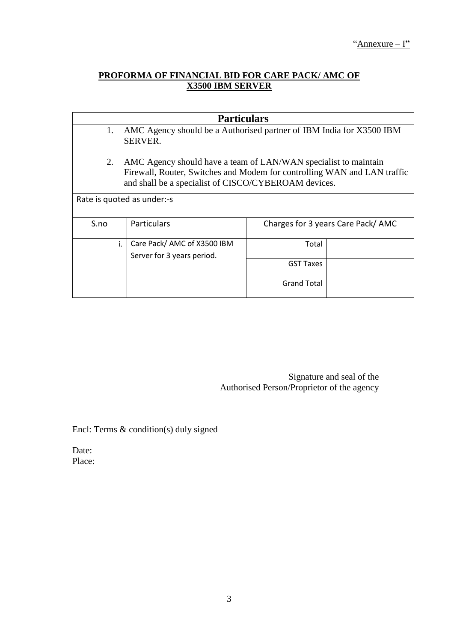## **PROFORMA OF FINANCIAL BID FOR CARE PACK/ AMC OF X3500 IBM SERVER**

| <b>Particulars</b>         |                                                                          |                                   |  |  |
|----------------------------|--------------------------------------------------------------------------|-----------------------------------|--|--|
| 1.                         | AMC Agency should be a Authorised partner of IBM India for X3500 IBM     |                                   |  |  |
|                            | <b>SERVER.</b>                                                           |                                   |  |  |
|                            |                                                                          |                                   |  |  |
| 2.                         | AMC Agency should have a team of LAN/WAN specialist to maintain          |                                   |  |  |
|                            | Firewall, Router, Switches and Modem for controlling WAN and LAN traffic |                                   |  |  |
|                            | and shall be a specialist of CISCO/CYBEROAM devices.                     |                                   |  |  |
|                            |                                                                          |                                   |  |  |
| Rate is quoted as under:-s |                                                                          |                                   |  |  |
|                            |                                                                          |                                   |  |  |
| S.no                       | <b>Particulars</b>                                                       | Charges for 3 years Care Pack/AMC |  |  |
|                            |                                                                          |                                   |  |  |
| i.                         | Care Pack/ AMC of X3500 IBM                                              | Total                             |  |  |
|                            | Server for 3 years period.                                               |                                   |  |  |
|                            |                                                                          | <b>GST Taxes</b>                  |  |  |
|                            |                                                                          |                                   |  |  |
|                            |                                                                          | <b>Grand Total</b>                |  |  |
|                            |                                                                          |                                   |  |  |

Signature and seal of the Authorised Person/Proprietor of the agency

Encl: Terms & condition(s) duly signed

Date: Place: